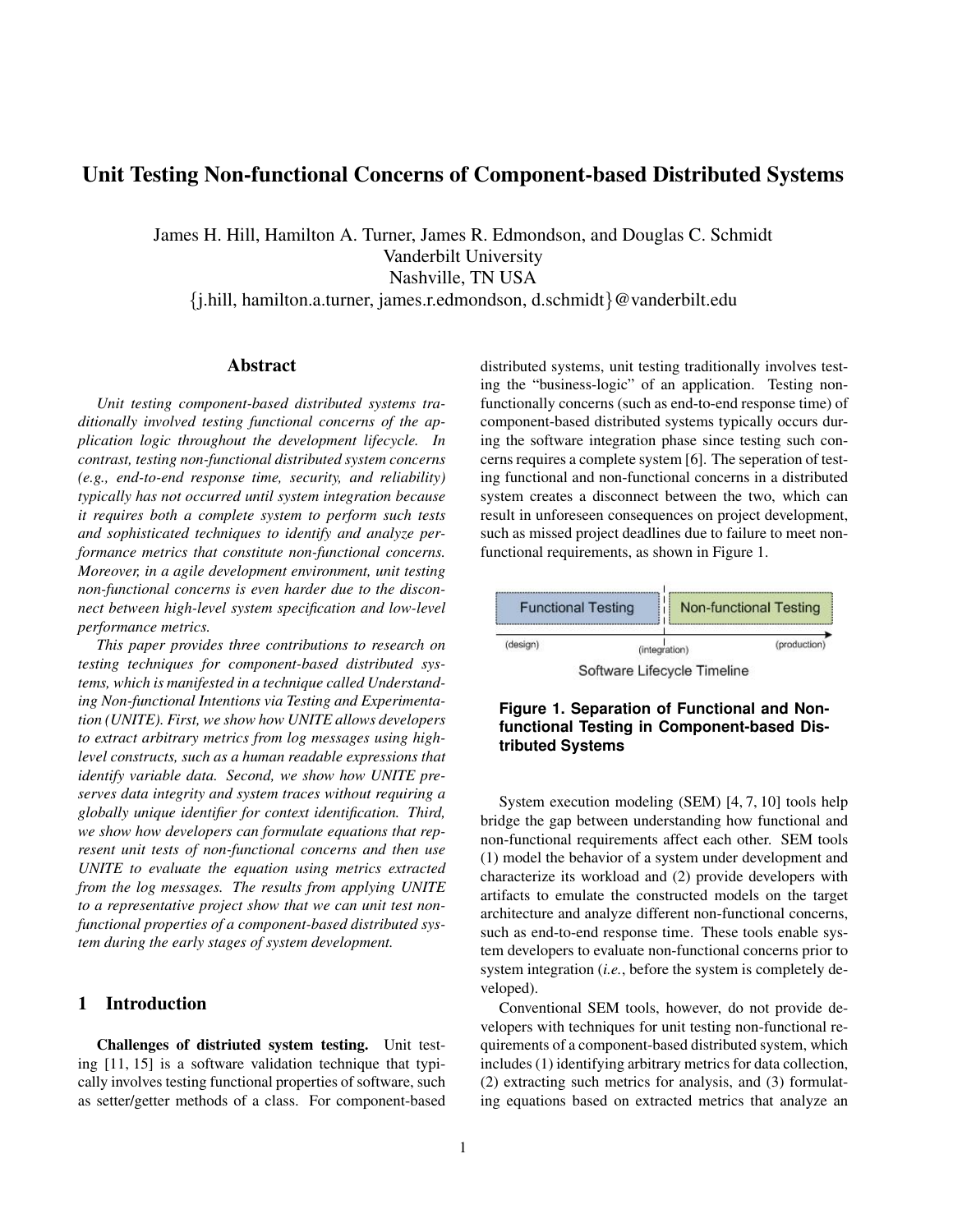# Unit Testing Non-functional Concerns of Component-based Distributed Systems

James H. Hill, Hamilton A. Turner, James R. Edmondson, and Douglas C. Schmidt Vanderbilt University Nashville, TN USA

{j.hill, hamilton.a.turner, james.r.edmondson, d.schmidt}@vanderbilt.edu

#### Abstract

*Unit testing component-based distributed systems traditionally involved testing functional concerns of the application logic throughout the development lifecycle. In contrast, testing non-functional distributed system concerns (e.g., end-to-end response time, security, and reliability) typically has not occurred until system integration because it requires both a complete system to perform such tests and sophisticated techniques to identify and analyze performance metrics that constitute non-functional concerns. Moreover, in a agile development environment, unit testing non-functional concerns is even harder due to the disconnect between high-level system specification and low-level performance metrics.*

*This paper provides three contributions to research on testing techniques for component-based distributed systems, which is manifested in a technique called Understanding Non-functional Intentions via Testing and Experimentation (UNITE). First, we show how UNITE allows developers to extract arbitrary metrics from log messages using highlevel constructs, such as a human readable expressions that identify variable data. Second, we show how UNITE preserves data integrity and system traces without requiring a globally unique identifier for context identification. Third, we show how developers can formulate equations that represent unit tests of non-functional concerns and then use UNITE to evaluate the equation using metrics extracted from the log messages. The results from applying UNITE to a representative project show that we can unit test nonfunctional properties of a component-based distributed system during the early stages of system development.*

## 1 Introduction

Challenges of distriuted system testing. Unit testing [11, 15] is a software validation technique that typically involves testing functional properties of software, such as setter/getter methods of a class. For component-based distributed systems, unit testing traditionally involves testing the "business-logic" of an application. Testing nonfunctionally concerns (such as end-to-end response time) of component-based distributed systems typically occurs during the software integration phase since testing such concerns requires a complete system [6]. The seperation of testing functional and non-functional concerns in a distributed system creates a disconnect between the two, which can result in unforeseen consequences on project development, such as missed project deadlines due to failure to meet nonfunctional requirements, as shown in Figure 1.







System execution modeling (SEM) [4, 7, 10] tools help bridge the gap between understanding how functional and non-functional requirements affect each other. SEM tools (1) model the behavior of a system under development and characterize its workload and (2) provide developers with artifacts to emulate the constructed models on the target architecture and analyze different non-functional concerns, such as end-to-end response time. These tools enable system developers to evaluate non-functional concerns prior to system integration (*i.e.*, before the system is completely developed).

Conventional SEM tools, however, do not provide developers with techniques for unit testing non-functional requirements of a component-based distributed system, which includes (1) identifying arbitrary metrics for data collection, (2) extracting such metrics for analysis, and (3) formulating equations based on extracted metrics that analyze an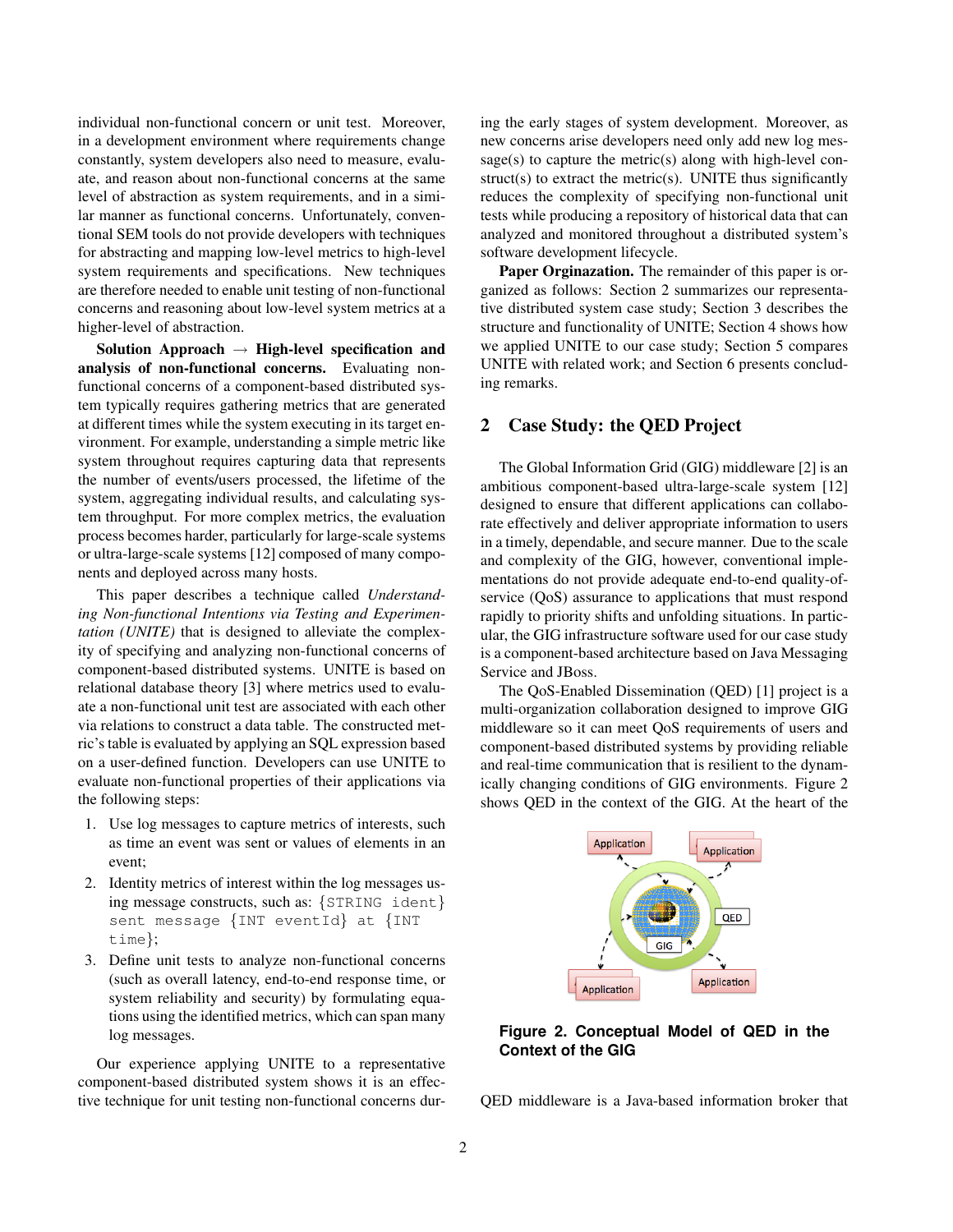individual non-functional concern or unit test. Moreover, in a development environment where requirements change constantly, system developers also need to measure, evaluate, and reason about non-functional concerns at the same level of abstraction as system requirements, and in a similar manner as functional concerns. Unfortunately, conventional SEM tools do not provide developers with techniques for abstracting and mapping low-level metrics to high-level system requirements and specifications. New techniques are therefore needed to enable unit testing of non-functional concerns and reasoning about low-level system metrics at a higher-level of abstraction.

Solution Approach  $\rightarrow$  High-level specification and analysis of non-functional concerns. Evaluating nonfunctional concerns of a component-based distributed system typically requires gathering metrics that are generated at different times while the system executing in its target environment. For example, understanding a simple metric like system throughout requires capturing data that represents the number of events/users processed, the lifetime of the system, aggregating individual results, and calculating system throughput. For more complex metrics, the evaluation process becomes harder, particularly for large-scale systems or ultra-large-scale systems [12] composed of many components and deployed across many hosts.

This paper describes a technique called *Understanding Non-functional Intentions via Testing and Experimentation (UNITE)* that is designed to alleviate the complexity of specifying and analyzing non-functional concerns of component-based distributed systems. UNITE is based on relational database theory [3] where metrics used to evaluate a non-functional unit test are associated with each other via relations to construct a data table. The constructed metric's table is evaluated by applying an SQL expression based on a user-defined function. Developers can use UNITE to evaluate non-functional properties of their applications via the following steps:

- 1. Use log messages to capture metrics of interests, such as time an event was sent or values of elements in an event;
- 2. Identity metrics of interest within the log messages using message constructs, such as: {STRING ident} sent message {INT eventId} at {INT time};
- 3. Define unit tests to analyze non-functional concerns (such as overall latency, end-to-end response time, or system reliability and security) by formulating equations using the identified metrics, which can span many log messages.

Our experience applying UNITE to a representative component-based distributed system shows it is an effective technique for unit testing non-functional concerns during the early stages of system development. Moreover, as new concerns arise developers need only add new log message(s) to capture the metric(s) along with high-level construct(s) to extract the metric(s). UNITE thus significantly reduces the complexity of specifying non-functional unit tests while producing a repository of historical data that can analyzed and monitored throughout a distributed system's software development lifecycle.

Paper Orginazation. The remainder of this paper is organized as follows: Section 2 summarizes our representative distributed system case study; Section 3 describes the structure and functionality of UNITE; Section 4 shows how we applied UNITE to our case study; Section 5 compares UNITE with related work; and Section 6 presents concluding remarks.

## 2 Case Study: the QED Project

The Global Information Grid (GIG) middleware [2] is an ambitious component-based ultra-large-scale system [12] designed to ensure that different applications can collaborate effectively and deliver appropriate information to users in a timely, dependable, and secure manner. Due to the scale and complexity of the GIG, however, conventional implementations do not provide adequate end-to-end quality-ofservice (QoS) assurance to applications that must respond rapidly to priority shifts and unfolding situations. In particular, the GIG infrastructure software used for our case study is a component-based architecture based on Java Messaging Service and JBoss.

The QoS-Enabled Dissemination (QED) [1] project is a multi-organization collaboration designed to improve GIG middleware so it can meet QoS requirements of users and component-based distributed systems by providing reliable and real-time communication that is resilient to the dynamically changing conditions of GIG environments. Figure 2 shows QED in the context of the GIG. At the heart of the



## **Figure 2. Conceptual Model of QED in the Context of the GIG**

QED middleware is a Java-based information broker that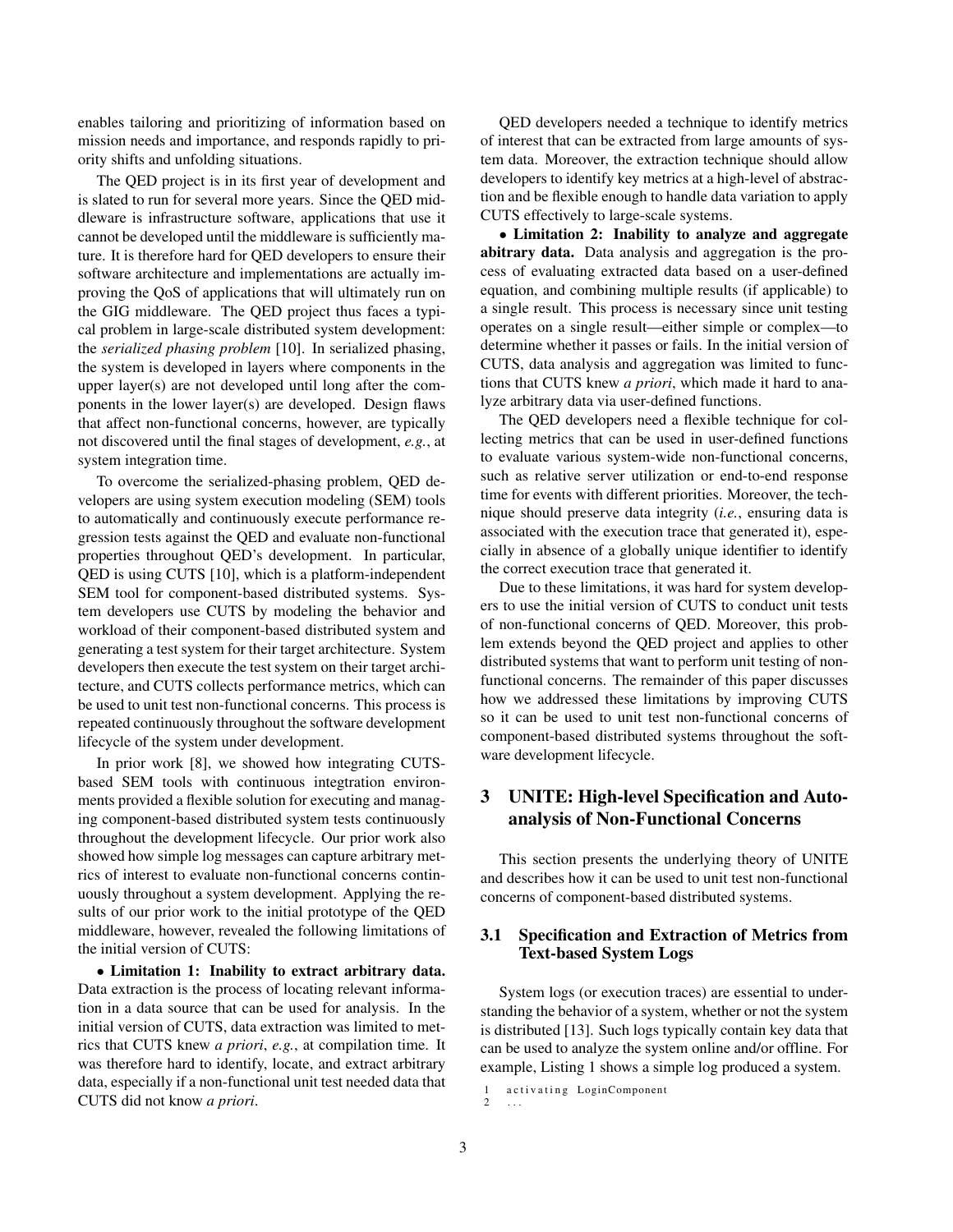enables tailoring and prioritizing of information based on mission needs and importance, and responds rapidly to priority shifts and unfolding situations.

The QED project is in its first year of development and is slated to run for several more years. Since the QED middleware is infrastructure software, applications that use it cannot be developed until the middleware is sufficiently mature. It is therefore hard for QED developers to ensure their software architecture and implementations are actually improving the QoS of applications that will ultimately run on the GIG middleware. The QED project thus faces a typical problem in large-scale distributed system development: the *serialized phasing problem* [10]. In serialized phasing, the system is developed in layers where components in the upper layer(s) are not developed until long after the components in the lower layer(s) are developed. Design flaws that affect non-functional concerns, however, are typically not discovered until the final stages of development, *e.g.*, at system integration time.

To overcome the serialized-phasing problem, QED developers are using system execution modeling (SEM) tools to automatically and continuously execute performance regression tests against the QED and evaluate non-functional properties throughout QED's development. In particular, QED is using CUTS [10], which is a platform-independent SEM tool for component-based distributed systems. System developers use CUTS by modeling the behavior and workload of their component-based distributed system and generating a test system for their target architecture. System developers then execute the test system on their target architecture, and CUTS collects performance metrics, which can be used to unit test non-functional concerns. This process is repeated continuously throughout the software development lifecycle of the system under development.

In prior work [8], we showed how integrating CUTSbased SEM tools with continuous integtration environments provided a flexible solution for executing and managing component-based distributed system tests continuously throughout the development lifecycle. Our prior work also showed how simple log messages can capture arbitrary metrics of interest to evaluate non-functional concerns continuously throughout a system development. Applying the results of our prior work to the initial prototype of the QED middleware, however, revealed the following limitations of the initial version of CUTS:

• Limitation 1: Inability to extract arbitrary data. Data extraction is the process of locating relevant information in a data source that can be used for analysis. In the initial version of CUTS, data extraction was limited to metrics that CUTS knew *a priori*, *e.g.*, at compilation time. It was therefore hard to identify, locate, and extract arbitrary data, especially if a non-functional unit test needed data that CUTS did not know *a priori*.

QED developers needed a technique to identify metrics of interest that can be extracted from large amounts of system data. Moreover, the extraction technique should allow developers to identify key metrics at a high-level of abstraction and be flexible enough to handle data variation to apply CUTS effectively to large-scale systems.

• Limitation 2: Inability to analyze and aggregate abitrary data. Data analysis and aggregation is the process of evaluating extracted data based on a user-defined equation, and combining multiple results (if applicable) to a single result. This process is necessary since unit testing operates on a single result—either simple or complex—to determine whether it passes or fails. In the initial version of CUTS, data analysis and aggregation was limited to functions that CUTS knew *a priori*, which made it hard to analyze arbitrary data via user-defined functions.

The QED developers need a flexible technique for collecting metrics that can be used in user-defined functions to evaluate various system-wide non-functional concerns, such as relative server utilization or end-to-end response time for events with different priorities. Moreover, the technique should preserve data integrity (*i.e.*, ensuring data is associated with the execution trace that generated it), especially in absence of a globally unique identifier to identify the correct execution trace that generated it.

Due to these limitations, it was hard for system developers to use the initial version of CUTS to conduct unit tests of non-functional concerns of QED. Moreover, this problem extends beyond the QED project and applies to other distributed systems that want to perform unit testing of nonfunctional concerns. The remainder of this paper discusses how we addressed these limitations by improving CUTS so it can be used to unit test non-functional concerns of component-based distributed systems throughout the software development lifecycle.

## 3 UNITE: High-level Specification and Autoanalysis of Non-Functional Concerns

This section presents the underlying theory of UNITE and describes how it can be used to unit test non-functional concerns of component-based distributed systems.

## 3.1 Specification and Extraction of Metrics from Text-based System Logs

System logs (or execution traces) are essential to understanding the behavior of a system, whether or not the system is distributed [13]. Such logs typically contain key data that can be used to analyze the system online and/or offline. For example, Listing 1 shows a simple log produced a system.

<sup>1</sup> activating LoginComponent 2 . . .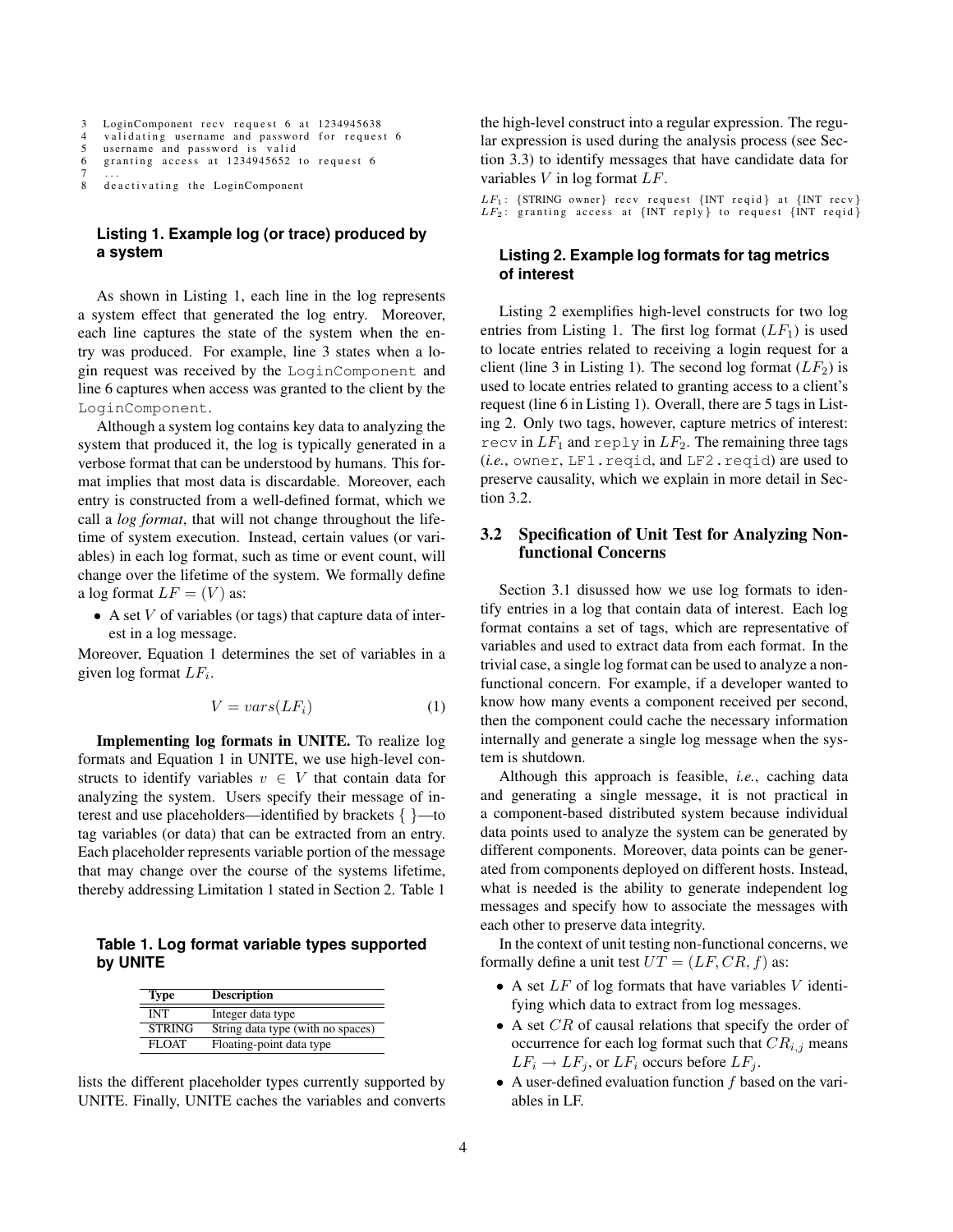```
3 LoginComponent recv request 6 at 1234945638<br>4 validating username and password for reques
    validating username and password for request 6
5 username and password is valid
6 granting access at 1234945652 to request 6
7 . . .
8 de activating the LoginComponent
```
## **Listing 1. Example log (or trace) produced by a system**

As shown in Listing 1, each line in the log represents a system effect that generated the log entry. Moreover, each line captures the state of the system when the entry was produced. For example, line 3 states when a login request was received by the LoginComponent and line 6 captures when access was granted to the client by the LoginComponent.

Although a system log contains key data to analyzing the system that produced it, the log is typically generated in a verbose format that can be understood by humans. This format implies that most data is discardable. Moreover, each entry is constructed from a well-defined format, which we call a *log format*, that will not change throughout the lifetime of system execution. Instead, certain values (or variables) in each log format, such as time or event count, will change over the lifetime of the system. We formally define a log format  $LF = (V)$  as:

• A set  $V$  of variables (or tags) that capture data of interest in a log message.

Moreover, Equation 1 determines the set of variables in a given log format  $LF_i$ .

$$
V = vars(LF_i) \tag{1}
$$

Implementing log formats in UNITE. To realize log formats and Equation 1 in UNITE, we use high-level constructs to identify variables  $v \in V$  that contain data for analyzing the system. Users specify their message of interest and use placeholders—identified by brackets { }—to tag variables (or data) that can be extracted from an entry. Each placeholder represents variable portion of the message that may change over the course of the systems lifetime, thereby addressing Limitation 1 stated in Section 2. Table 1

**Table 1. Log format variable types supported by UNITE**

| <b>Type</b>   | <b>Description</b>                |  |
|---------------|-----------------------------------|--|
| INT           | Integer data type                 |  |
| <b>STRING</b> | String data type (with no spaces) |  |
| FLOAT         | Floating-point data type          |  |

lists the different placeholder types currently supported by UNITE. Finally, UNITE caches the variables and converts the high-level construct into a regular expression. The regular expression is used during the analysis process (see Section 3.3) to identify messages that have candidate data for variables  $V$  in log format  $LF$ .

 $LF_1$ : {STRING owner} recv request {INT reqid} at {INT recv}  $LF_2$ : granting access at  $\{INT\ reply\}$  to request  $\{INT\o\}$ 

## **Listing 2. Example log formats for tag metrics of interest**

Listing 2 exemplifies high-level constructs for two log entries from Listing 1. The first log format  $(LF_1)$  is used to locate entries related to receiving a login request for a client (line 3 in Listing 1). The second log format  $(LF_2)$  is used to locate entries related to granting access to a client's request (line 6 in Listing 1). Overall, there are 5 tags in Listing 2. Only two tags, however, capture metrics of interest: recv in  $LF_1$  and reply in  $LF_2$ . The remaining three tags (*i.e.*, owner, LF1.reqid, and LF2.reqid) are used to preserve causality, which we explain in more detail in Section 3.2.

## 3.2 Specification of Unit Test for Analyzing Nonfunctional Concerns

Section 3.1 disussed how we use log formats to identify entries in a log that contain data of interest. Each log format contains a set of tags, which are representative of variables and used to extract data from each format. In the trivial case, a single log format can be used to analyze a nonfunctional concern. For example, if a developer wanted to know how many events a component received per second, then the component could cache the necessary information internally and generate a single log message when the system is shutdown.

Although this approach is feasible, *i.e.*, caching data and generating a single message, it is not practical in a component-based distributed system because individual data points used to analyze the system can be generated by different components. Moreover, data points can be generated from components deployed on different hosts. Instead, what is needed is the ability to generate independent log messages and specify how to associate the messages with each other to preserve data integrity.

In the context of unit testing non-functional concerns, we formally define a unit test  $UT = (LF, CR, f)$  as:

- A set  $LF$  of log formats that have variables  $V$  identifying which data to extract from log messages.
- A set  $CR$  of causal relations that specify the order of occurrence for each log format such that  $CR_{i,j}$  means  $LF_i \rightarrow LF_i$ , or  $LF_i$  occurs before  $LF_i$ .
- A user-defined evaluation function  $f$  based on the variables in LF.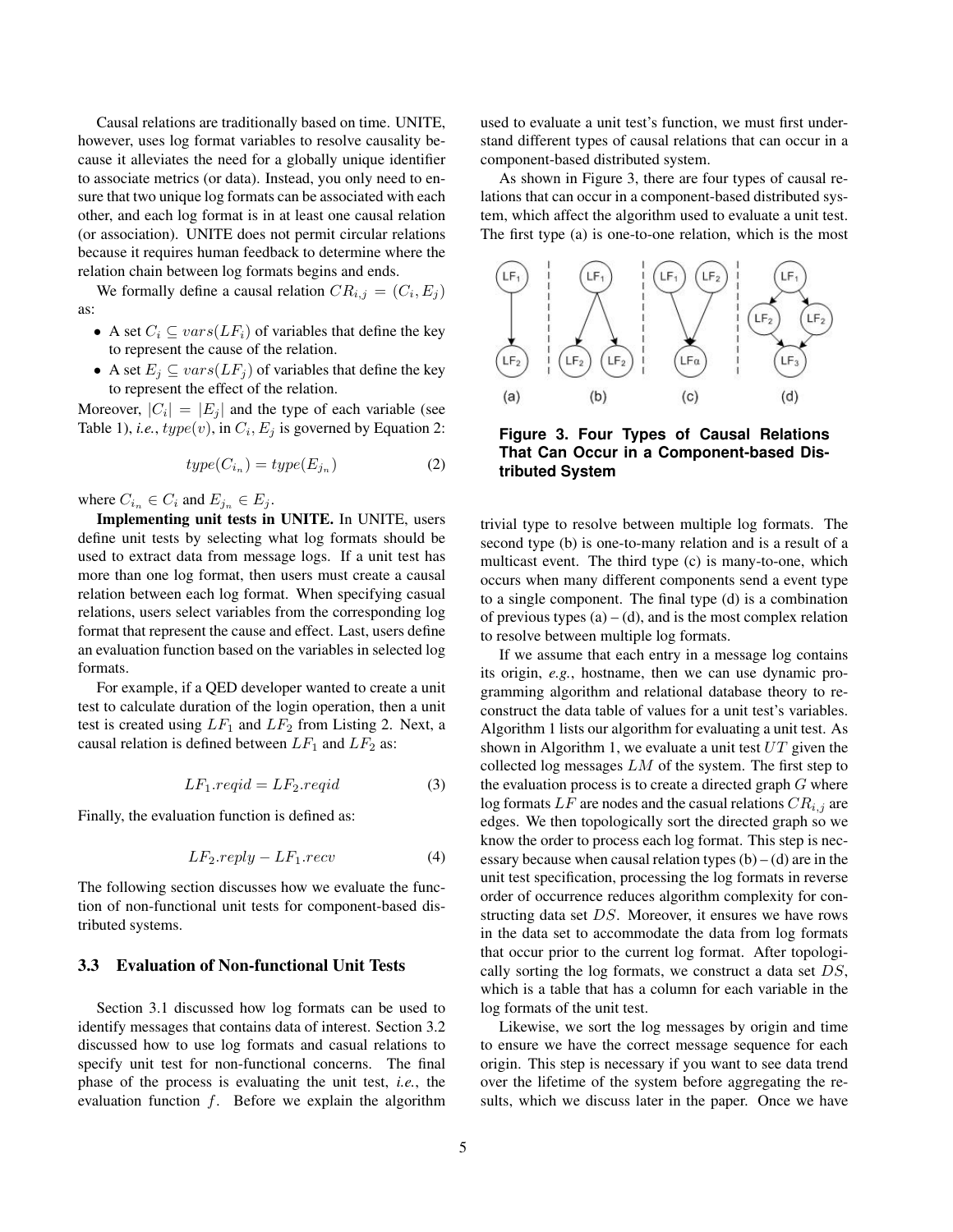Causal relations are traditionally based on time. UNITE, however, uses log format variables to resolve causality because it alleviates the need for a globally unique identifier to associate metrics (or data). Instead, you only need to ensure that two unique log formats can be associated with each other, and each log format is in at least one causal relation (or association). UNITE does not permit circular relations because it requires human feedback to determine where the relation chain between log formats begins and ends.

We formally define a causal relation  $CR_{i,j} = (C_i, E_j)$ as:

- A set  $C_i \subseteq vars(LF_i)$  of variables that define the key to represent the cause of the relation.
- A set  $E_i \subseteq vars(LF_i)$  of variables that define the key to represent the effect of the relation.

Moreover,  $|C_i| = |E_j|$  and the type of each variable (see Table 1), *i.e.*,  $type(v)$ , in  $C_i$ ,  $E_j$  is governed by Equation 2:

$$
type(C_{i_n}) = type(E_{j_n})
$$
\n(2)

where  $C_{i_n} \in C_i$  and  $E_{j_n} \in E_j$ .

Implementing unit tests in UNITE. In UNITE, users define unit tests by selecting what log formats should be used to extract data from message logs. If a unit test has more than one log format, then users must create a causal relation between each log format. When specifying casual relations, users select variables from the corresponding log format that represent the cause and effect. Last, users define an evaluation function based on the variables in selected log formats.

For example, if a QED developer wanted to create a unit test to calculate duration of the login operation, then a unit test is created using  $LF_1$  and  $LF_2$  from Listing 2. Next, a causal relation is defined between  $LF_1$  and  $LF_2$  as:

$$
LF_1.read = LF_2.read \tag{3}
$$

Finally, the evaluation function is defined as:

$$
LF_2.reply - LF_1. recv \tag{4}
$$

The following section discusses how we evaluate the function of non-functional unit tests for component-based distributed systems.

### 3.3 Evaluation of Non-functional Unit Tests

Section 3.1 discussed how log formats can be used to identify messages that contains data of interest. Section 3.2 discussed how to use log formats and casual relations to specify unit test for non-functional concerns. The final phase of the process is evaluating the unit test, *i.e.*, the evaluation function  $f$ . Before we explain the algorithm

used to evaluate a unit test's function, we must first understand different types of causal relations that can occur in a component-based distributed system.

As shown in Figure 3, there are four types of causal relations that can occur in a component-based distributed system, which affect the algorithm used to evaluate a unit test. The first type (a) is one-to-one relation, which is the most



**Figure 3. Four Types of Causal Relations That Can Occur in a Component-based Distributed System**

trivial type to resolve between multiple log formats. The second type (b) is one-to-many relation and is a result of a multicast event. The third type (c) is many-to-one, which occurs when many different components send a event type to a single component. The final type (d) is a combination of previous types  $(a) - (d)$ , and is the most complex relation to resolve between multiple log formats.

If we assume that each entry in a message log contains its origin, *e.g.*, hostname, then we can use dynamic programming algorithm and relational database theory to reconstruct the data table of values for a unit test's variables. Algorithm 1 lists our algorithm for evaluating a unit test. As shown in Algorithm 1, we evaluate a unit test  $UT$  given the collected log messages  $LM$  of the system. The first step to the evaluation process is to create a directed graph  $G$  where log formats  $LF$  are nodes and the casual relations  $CR_{i,j}$  are edges. We then topologically sort the directed graph so we know the order to process each log format. This step is necessary because when causal relation types  $(b) - (d)$  are in the unit test specification, processing the log formats in reverse order of occurrence reduces algorithm complexity for constructing data set DS. Moreover, it ensures we have rows in the data set to accommodate the data from log formats that occur prior to the current log format. After topologically sorting the log formats, we construct a data set DS, which is a table that has a column for each variable in the log formats of the unit test.

Likewise, we sort the log messages by origin and time to ensure we have the correct message sequence for each origin. This step is necessary if you want to see data trend over the lifetime of the system before aggregating the results, which we discuss later in the paper. Once we have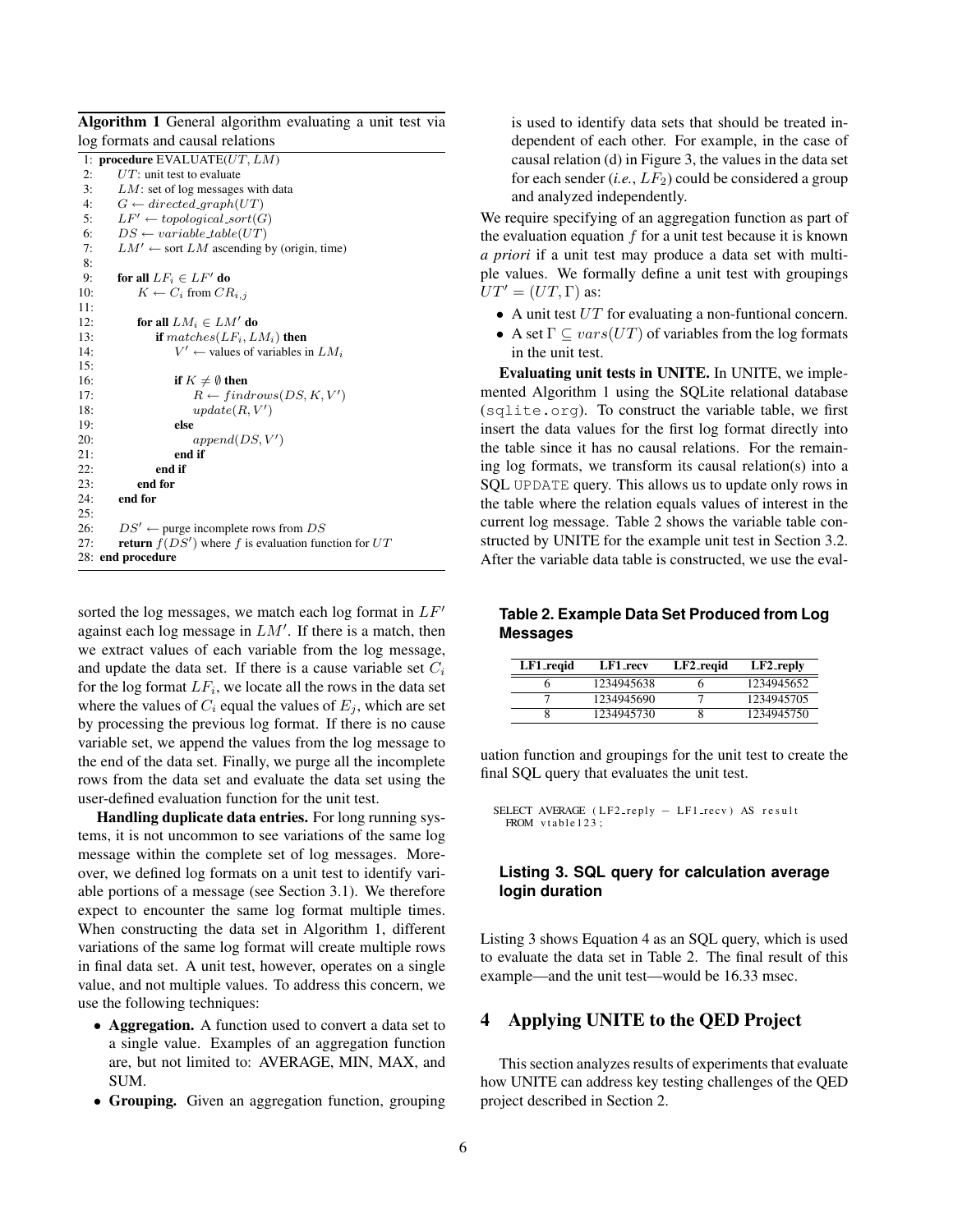Algorithm 1 General algorithm evaluating a unit test via log formats and causal relations

|     | 1: procedure EVALUATE( $UT, LM$ )                              |
|-----|----------------------------------------------------------------|
| 2:  | $UT$ : unit test to evaluate                                   |
| 3:  | $LM$ : set of log messages with data                           |
| 4:  | $G \leftarrow directed_{\mathcal{A}}$                          |
| 5:  | $LF' \leftarrow topological.sort(G)$                           |
| 6:  | $DS \leftarrow variable_table(UT)$                             |
| 7:  | $LM' \leftarrow$ sort LM ascending by (origin, time)           |
| 8:  |                                                                |
| 9:  | for all $LF_i \in LF'$ do                                      |
| 10: | $K \leftarrow C_i$ from $CR_{i,j}$                             |
| 11: |                                                                |
| 12: | for all $LM_i \in LM'$ do                                      |
| 13: | if $matches(LF_i, LM_i)$ then                                  |
| 14: | $V' \leftarrow$ values of variables in $LM_i$                  |
| 15: |                                                                |
| 16: | if $K \neq \emptyset$ then                                     |
| 17: | $R \leftarrow findrows(DS, K, V')$                             |
| 18: | update(R, V')                                                  |
| 19: | else                                                           |
| 20: | append(DS, V')                                                 |
| 21: | end if                                                         |
| 22: | end if                                                         |
| 23: | end for                                                        |
| 24: | end for                                                        |
| 25: |                                                                |
| 26: | $DS' \leftarrow$ purge incomplete rows from $DS$               |
| 27: | <b>return</b> $f(DS')$ where f is evaluation function for $UT$ |
|     | 28: end procedure                                              |
|     |                                                                |

sorted the log messages, we match each log format in  $LF'$ against each log message in  $LM'$ . If there is a match, then we extract values of each variable from the log message, and update the data set. If there is a cause variable set  $C_i$ for the log format  $LF_i$ , we locate all the rows in the data set where the values of  $C_i$  equal the values of  $E_i$ , which are set by processing the previous log format. If there is no cause variable set, we append the values from the log message to the end of the data set. Finally, we purge all the incomplete rows from the data set and evaluate the data set using the user-defined evaluation function for the unit test.

Handling duplicate data entries. For long running systems, it is not uncommon to see variations of the same log message within the complete set of log messages. Moreover, we defined log formats on a unit test to identify variable portions of a message (see Section 3.1). We therefore expect to encounter the same log format multiple times. When constructing the data set in Algorithm 1, different variations of the same log format will create multiple rows in final data set. A unit test, however, operates on a single value, and not multiple values. To address this concern, we use the following techniques:

- Aggregation. A function used to convert a data set to a single value. Examples of an aggregation function are, but not limited to: AVERAGE, MIN, MAX, and SUM.
- Grouping. Given an aggregation function, grouping

is used to identify data sets that should be treated independent of each other. For example, in the case of causal relation (d) in Figure 3, the values in the data set for each sender  $(i.e., LF_2)$  could be considered a group and analyzed independently.

We require specifying of an aggregation function as part of the evaluation equation  $f$  for a unit test because it is known *a priori* if a unit test may produce a data set with multiple values. We formally define a unit test with groupings  $UT' = (UT, \Gamma)$  as:

- A unit test  $UT$  for evaluating a non-funtional concern.
- A set  $\Gamma \subseteq vars(UT)$  of variables from the log formats in the unit test.

Evaluating unit tests in UNITE. In UNITE, we implemented Algorithm 1 using the SQLite relational database (sqlite.org). To construct the variable table, we first insert the data values for the first log format directly into the table since it has no causal relations. For the remaining log formats, we transform its causal relation(s) into a SQL UPDATE query. This allows us to update only rows in the table where the relation equals values of interest in the current log message. Table 2 shows the variable table constructed by UNITE for the example unit test in Section 3.2. After the variable data table is constructed, we use the eval-

**Table 2. Example Data Set Produced from Log Messages**

| LF1_reqid | LF1_recv   | LF2_regid | $LF2$ -reply |
|-----------|------------|-----------|--------------|
|           | 1234945638 |           | 1234945652   |
|           | 1234945690 |           | 1234945705   |
|           | 1234945730 |           | 1234945750   |

uation function and groupings for the unit test to create the final SQL query that evaluates the unit test.

```
SELECT AVERAGE (LF2_reply - LF1_recv) AS result
 FROM vtable 123 :
```
### **Listing 3. SQL query for calculation average login duration**

Listing 3 shows Equation 4 as an SQL query, which is used to evaluate the data set in Table 2. The final result of this example—and the unit test—would be 16.33 msec.

## 4 Applying UNITE to the QED Project

This section analyzes results of experiments that evaluate how UNITE can address key testing challenges of the QED project described in Section 2.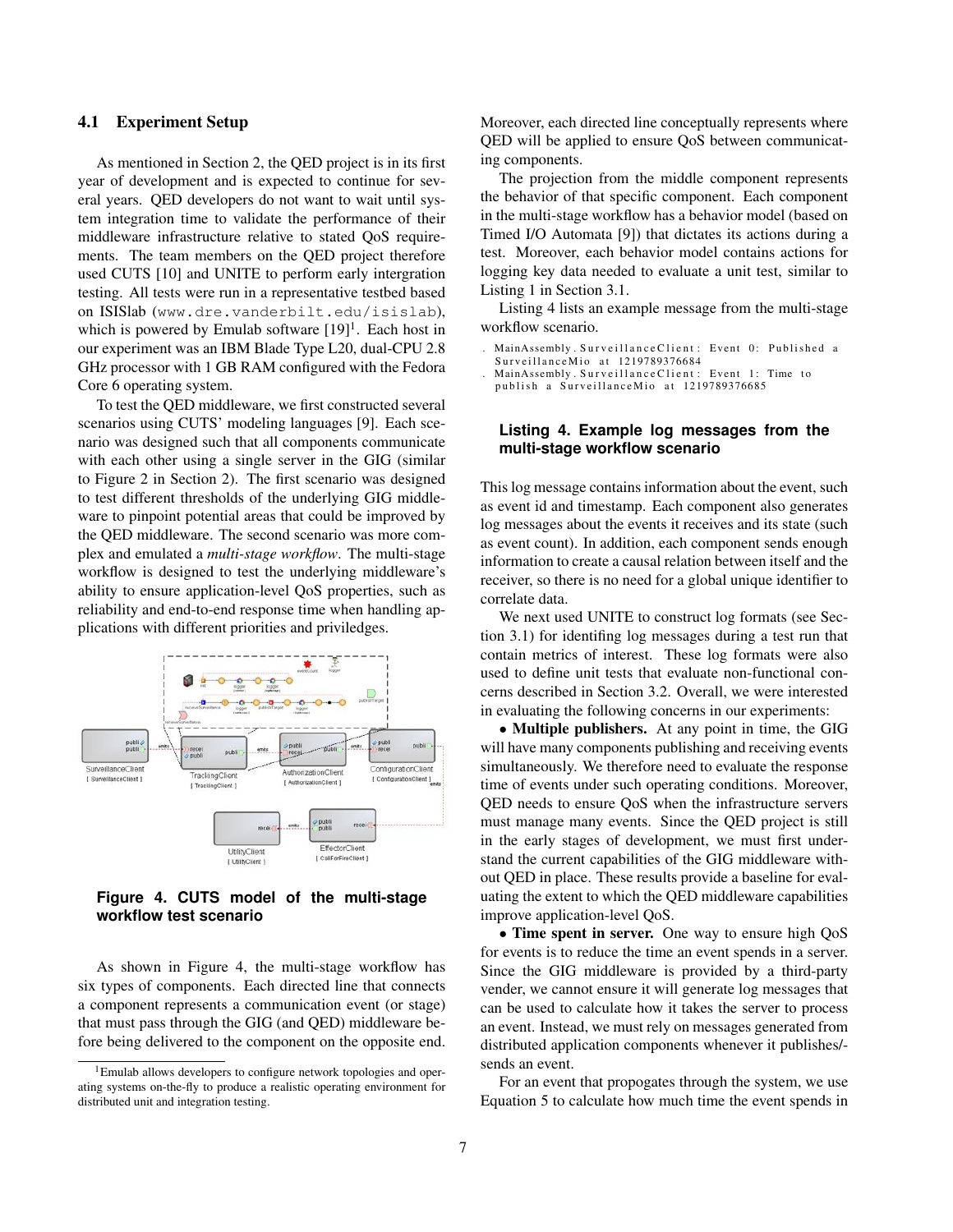#### 4.1 Experiment Setup

As mentioned in Section 2, the QED project is in its first year of development and is expected to continue for several years. QED developers do not want to wait until system integration time to validate the performance of their middleware infrastructure relative to stated QoS requirements. The team members on the QED project therefore used CUTS [10] and UNITE to perform early intergration testing. All tests were run in a representative testbed based on ISISlab (www.dre.vanderbilt.edu/isislab), which is powered by Emulab software [19]<sup>1</sup>. Each host in our experiment was an IBM Blade Type L20, dual-CPU 2.8 GHz processor with 1 GB RAM configured with the Fedora Core 6 operating system.

To test the QED middleware, we first constructed several scenarios using CUTS' modeling languages [9]. Each scenario was designed such that all components communicate with each other using a single server in the GIG (similar to Figure 2 in Section 2). The first scenario was designed to test different thresholds of the underlying GIG middleware to pinpoint potential areas that could be improved by the QED middleware. The second scenario was more complex and emulated a *multi-stage workflow*. The multi-stage workflow is designed to test the underlying middleware's ability to ensure application-level QoS properties, such as reliability and end-to-end response time when handling applications with different priorities and priviledges.



**Figure 4. CUTS model of the multi-stage workflow test scenario**

As shown in Figure 4, the multi-stage workflow has six types of components. Each directed line that connects a component represents a communication event (or stage) that must pass through the GIG (and QED) middleware before being delivered to the component on the opposite end.

Moreover, each directed line conceptually represents where QED will be applied to ensure QoS between communicating components.

The projection from the middle component represents the behavior of that specific component. Each component in the multi-stage workflow has a behavior model (based on Timed I/O Automata [9]) that dictates its actions during a test. Moreover, each behavior model contains actions for logging key data needed to evaluate a unit test, similar to Listing 1 in Section 3.1.

Listing 4 lists an example message from the multi-stage workflow scenario.

MainAssembly. SurveillanceClient: Event 0: Published a

```
SurveillanceMio at 1219789376684
```
MainAssembly. Surveillance Client: Event 1: Time to publish a SurveillanceMio at 1219789376685

#### **Listing 4. Example log messages from the multi-stage workflow scenario**

This log message contains information about the event, such as event id and timestamp. Each component also generates log messages about the events it receives and its state (such as event count). In addition, each component sends enough information to create a causal relation between itself and the receiver, so there is no need for a global unique identifier to correlate data.

We next used UNITE to construct log formats (see Section 3.1) for identifing log messages during a test run that contain metrics of interest. These log formats were also used to define unit tests that evaluate non-functional concerns described in Section 3.2. Overall, we were interested in evaluating the following concerns in our experiments:

• Multiple publishers. At any point in time, the GIG will have many components publishing and receiving events simultaneously. We therefore need to evaluate the response time of events under such operating conditions. Moreover, QED needs to ensure QoS when the infrastructure servers must manage many events. Since the QED project is still in the early stages of development, we must first understand the current capabilities of the GIG middleware without QED in place. These results provide a baseline for evaluating the extent to which the QED middleware capabilities improve application-level QoS.

• Time spent in server. One way to ensure high QoS for events is to reduce the time an event spends in a server. Since the GIG middleware is provided by a third-party vender, we cannot ensure it will generate log messages that can be used to calculate how it takes the server to process an event. Instead, we must rely on messages generated from distributed application components whenever it publishes/ sends an event.

For an event that propogates through the system, we use Equation 5 to calculate how much time the event spends in

<sup>&</sup>lt;sup>1</sup>Emulab allows developers to configure network topologies and operating systems on-the-fly to produce a realistic operating environment for distributed unit and integration testing.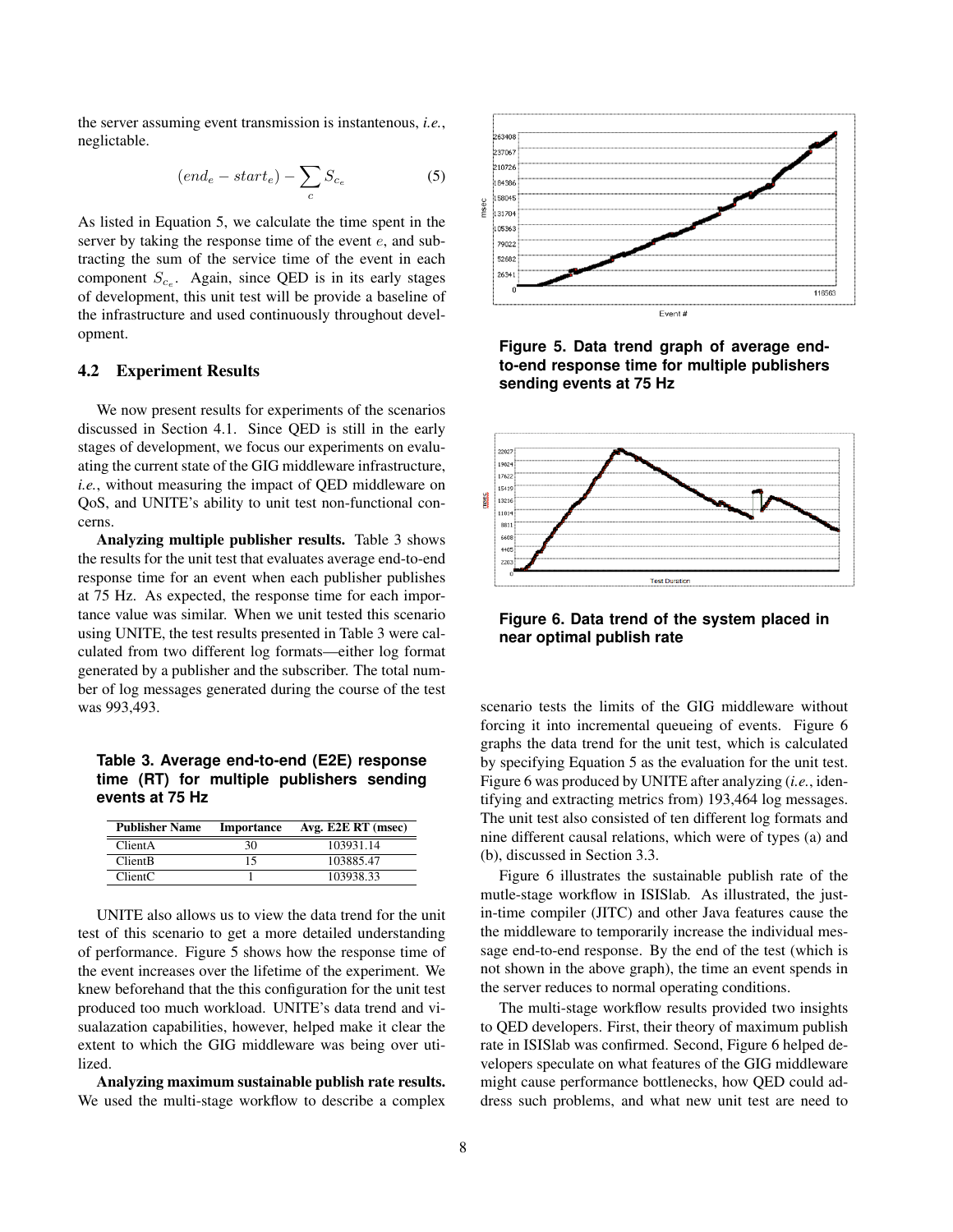the server assuming event transmission is instantenous, *i.e.*, neglictable.

$$
(end_e - start_e) - \sum_c S_{c_e} \tag{5}
$$

As listed in Equation 5, we calculate the time spent in the server by taking the response time of the event  $e$ , and subtracting the sum of the service time of the event in each component  $S_{c_e}$ . Again, since QED is in its early stages of development, this unit test will be provide a baseline of the infrastructure and used continuously throughout development.

#### 4.2 Experiment Results

We now present results for experiments of the scenarios discussed in Section 4.1. Since QED is still in the early stages of development, we focus our experiments on evaluating the current state of the GIG middleware infrastructure, *i.e.*, without measuring the impact of QED middleware on QoS, and UNITE's ability to unit test non-functional concerns.

Analyzing multiple publisher results. Table 3 shows the results for the unit test that evaluates average end-to-end response time for an event when each publisher publishes at 75 Hz. As expected, the response time for each importance value was similar. When we unit tested this scenario using UNITE, the test results presented in Table 3 were calculated from two different log formats—either log format generated by a publisher and the subscriber. The total number of log messages generated during the course of the test was 993,493.

**Table 3. Average end-to-end (E2E) response time (RT) for multiple publishers sending events at 75 Hz**

| <b>Publisher Name</b> | Importance | Avg. E2E RT (msec) |
|-----------------------|------------|--------------------|
| ClientA               | 30         | 103931.14          |
| <b>ClientB</b>        | 15         | 103885.47          |
| ClientC               |            | 103938.33          |

UNITE also allows us to view the data trend for the unit test of this scenario to get a more detailed understanding of performance. Figure 5 shows how the response time of the event increases over the lifetime of the experiment. We knew beforehand that the this configuration for the unit test produced too much workload. UNITE's data trend and visualazation capabilities, however, helped make it clear the extent to which the GIG middleware was being over utilized.

Analyzing maximum sustainable publish rate results. We used the multi-stage workflow to describe a complex



**Figure 5. Data trend graph of average endto-end response time for multiple publishers sending events at 75 Hz**



**Figure 6. Data trend of the system placed in near optimal publish rate**

scenario tests the limits of the GIG middleware without forcing it into incremental queueing of events. Figure 6 graphs the data trend for the unit test, which is calculated by specifying Equation 5 as the evaluation for the unit test. Figure 6 was produced by UNITE after analyzing (*i.e.*, identifying and extracting metrics from) 193,464 log messages. The unit test also consisted of ten different log formats and nine different causal relations, which were of types (a) and (b), discussed in Section 3.3.

Figure 6 illustrates the sustainable publish rate of the mutle-stage workflow in ISISlab. As illustrated, the justin-time compiler (JITC) and other Java features cause the the middleware to temporarily increase the individual message end-to-end response. By the end of the test (which is not shown in the above graph), the time an event spends in the server reduces to normal operating conditions.

The multi-stage workflow results provided two insights to QED developers. First, their theory of maximum publish rate in ISISlab was confirmed. Second, Figure 6 helped developers speculate on what features of the GIG middleware might cause performance bottlenecks, how QED could address such problems, and what new unit test are need to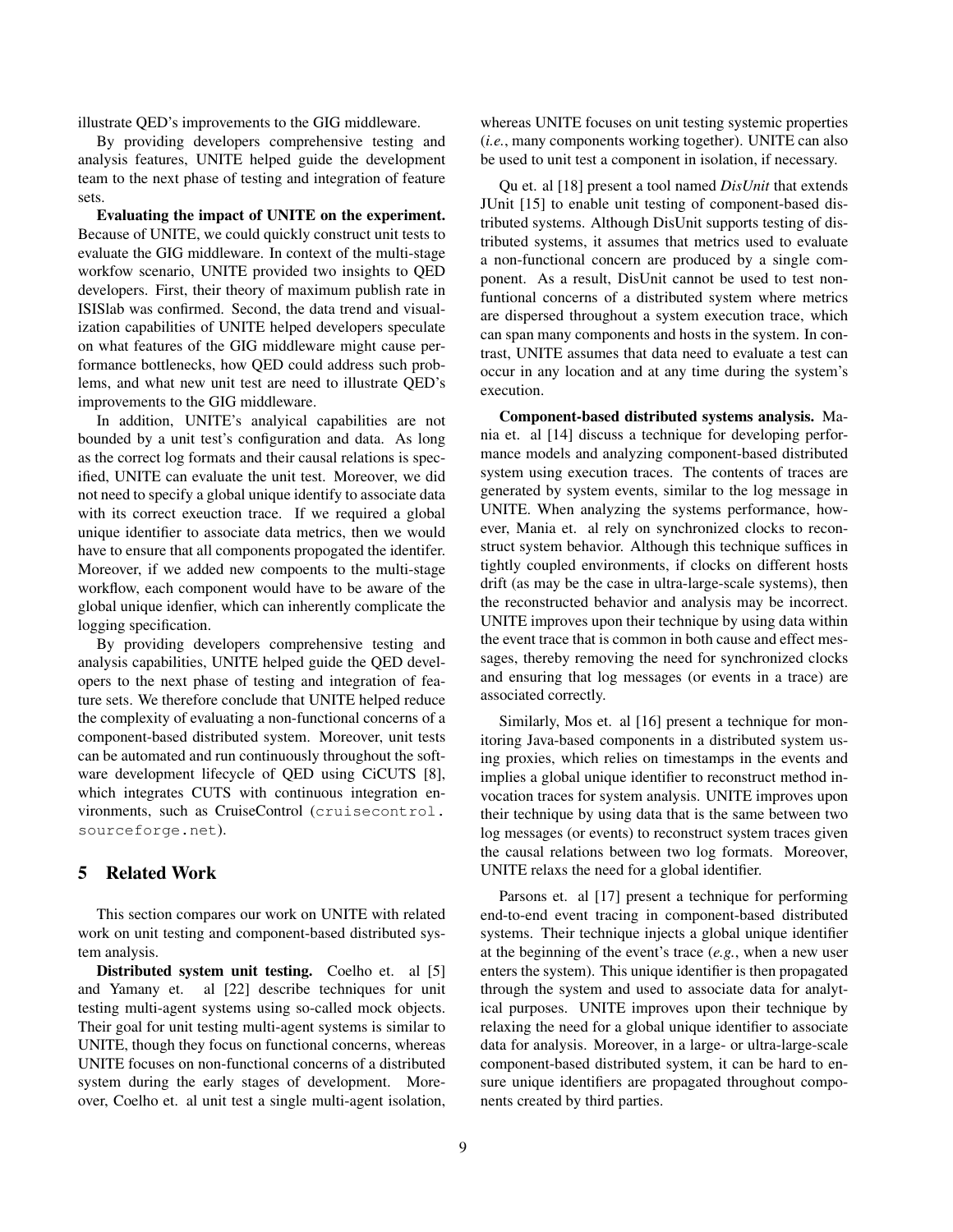illustrate QED's improvements to the GIG middleware.

By providing developers comprehensive testing and analysis features, UNITE helped guide the development team to the next phase of testing and integration of feature sets.

Evaluating the impact of UNITE on the experiment. Because of UNITE, we could quickly construct unit tests to evaluate the GIG middleware. In context of the multi-stage workfow scenario, UNITE provided two insights to QED developers. First, their theory of maximum publish rate in ISISlab was confirmed. Second, the data trend and visualization capabilities of UNITE helped developers speculate on what features of the GIG middleware might cause performance bottlenecks, how QED could address such problems, and what new unit test are need to illustrate QED's improvements to the GIG middleware.

In addition, UNITE's analyical capabilities are not bounded by a unit test's configuration and data. As long as the correct log formats and their causal relations is specified, UNITE can evaluate the unit test. Moreover, we did not need to specify a global unique identify to associate data with its correct exeuction trace. If we required a global unique identifier to associate data metrics, then we would have to ensure that all components propogated the identifer. Moreover, if we added new compoents to the multi-stage workflow, each component would have to be aware of the global unique idenfier, which can inherently complicate the logging specification.

By providing developers comprehensive testing and analysis capabilities, UNITE helped guide the QED developers to the next phase of testing and integration of feature sets. We therefore conclude that UNITE helped reduce the complexity of evaluating a non-functional concerns of a component-based distributed system. Moreover, unit tests can be automated and run continuously throughout the software development lifecycle of QED using CiCUTS [8], which integrates CUTS with continuous integration environments, such as CruiseControl (cruisecontrol. sourceforge.net).

## 5 Related Work

This section compares our work on UNITE with related work on unit testing and component-based distributed system analysis.

Distributed system unit testing. Coelho et. al [5] and Yamany et. al [22] describe techniques for unit testing multi-agent systems using so-called mock objects. Their goal for unit testing multi-agent systems is similar to UNITE, though they focus on functional concerns, whereas UNITE focuses on non-functional concerns of a distributed system during the early stages of development. Moreover, Coelho et. al unit test a single multi-agent isolation,

whereas UNITE focuses on unit testing systemic properties (*i.e.*, many components working together). UNITE can also be used to unit test a component in isolation, if necessary.

Qu et. al [18] present a tool named *DisUnit* that extends JUnit [15] to enable unit testing of component-based distributed systems. Although DisUnit supports testing of distributed systems, it assumes that metrics used to evaluate a non-functional concern are produced by a single component. As a result, DisUnit cannot be used to test nonfuntional concerns of a distributed system where metrics are dispersed throughout a system execution trace, which can span many components and hosts in the system. In contrast, UNITE assumes that data need to evaluate a test can occur in any location and at any time during the system's execution.

Component-based distributed systems analysis. Mania et. al [14] discuss a technique for developing performance models and analyzing component-based distributed system using execution traces. The contents of traces are generated by system events, similar to the log message in UNITE. When analyzing the systems performance, however, Mania et. al rely on synchronized clocks to reconstruct system behavior. Although this technique suffices in tightly coupled environments, if clocks on different hosts drift (as may be the case in ultra-large-scale systems), then the reconstructed behavior and analysis may be incorrect. UNITE improves upon their technique by using data within the event trace that is common in both cause and effect messages, thereby removing the need for synchronized clocks and ensuring that log messages (or events in a trace) are associated correctly.

Similarly, Mos et. al [16] present a technique for monitoring Java-based components in a distributed system using proxies, which relies on timestamps in the events and implies a global unique identifier to reconstruct method invocation traces for system analysis. UNITE improves upon their technique by using data that is the same between two log messages (or events) to reconstruct system traces given the causal relations between two log formats. Moreover, UNITE relaxs the need for a global identifier.

Parsons et. al [17] present a technique for performing end-to-end event tracing in component-based distributed systems. Their technique injects a global unique identifier at the beginning of the event's trace (*e.g.*, when a new user enters the system). This unique identifier is then propagated through the system and used to associate data for analytical purposes. UNITE improves upon their technique by relaxing the need for a global unique identifier to associate data for analysis. Moreover, in a large- or ultra-large-scale component-based distributed system, it can be hard to ensure unique identifiers are propagated throughout components created by third parties.